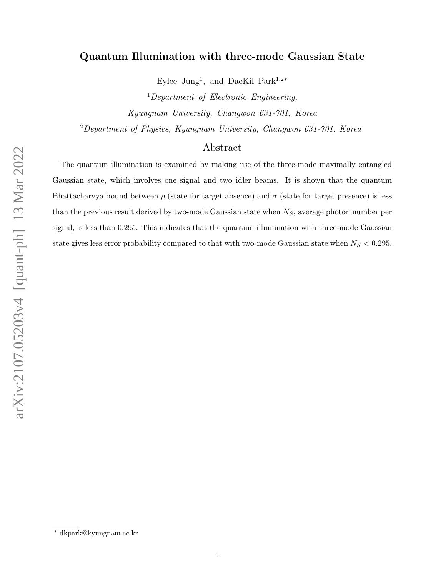# Quantum Illumination with three-mode Gaussian State

Eylee Jung<sup>1</sup>, and DaeKil Park<sup>1,2\*</sup>

 $1$ Department of Electronic Engineering, Kyungnam University, Changwon 631-701, Korea  $2$ Department of Physics, Kyungnam University, Changwon 631-701, Korea

## Abstract

The quantum illumination is examined by making use of the three-mode maximally entangled Gaussian state, which involves one signal and two idler beams. It is shown that the quantum Bhattacharyya bound between  $\rho$  (state for target absence) and  $\sigma$  (state for target presence) is less than the previous result derived by two-mode Gaussian state when  $N_S$ , average photon number per signal, is less than 0.295. This indicates that the quantum illumination with three-mode Gaussian state gives less error probability compared to that with two-mode Gaussian state when  $N_S < 0.295$ .

<sup>∗</sup> dkpark@kyungnam.ac.kr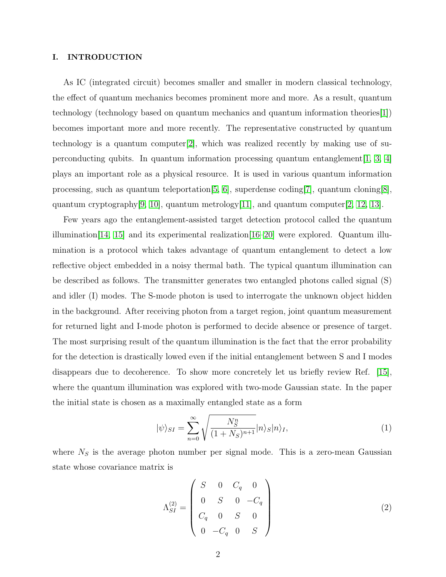#### I. INTRODUCTION

As IC (integrated circuit) becomes smaller and smaller in modern classical technology, the effect of quantum mechanics becomes prominent more and more. As a result, quantum technology (technology based on quantum mechanics and quantum information theories[\[1\]](#page-9-0)) becomes important more and more recently. The representative constructed by quantum technology is a quantum computer[\[2\]](#page-9-1), which was realized recently by making use of superconducting qubits. In quantum information processing quantum entanglement  $[1, 3, 4]$  $[1, 3, 4]$  $[1, 3, 4]$ plays an important role as a physical resource. It is used in various quantum information processing, such as quantum teleportation  $[5, 6]$  $[5, 6]$ , superdense coding  $[7]$ , quantum cloning  $[8]$ , quantum cryptography[\[9,](#page-9-8) [10\]](#page-9-9), quantum metrology[\[11\]](#page-10-0), and quantum computer[\[2,](#page-9-1) [12,](#page-10-1) [13\]](#page-10-2).

Few years ago the entanglement-assisted target detection protocol called the quantum illumination  $(14, 15)$  and its experimental realization  $(16–20)$  were explored. Quantum illumination is a protocol which takes advantage of quantum entanglement to detect a low reflective object embedded in a noisy thermal bath. The typical quantum illumination can be described as follows. The transmitter generates two entangled photons called signal (S) and idler (I) modes. The S-mode photon is used to interrogate the unknown object hidden in the background. After receiving photon from a target region, joint quantum measurement for returned light and I-mode photon is performed to decide absence or presence of target. The most surprising result of the quantum illumination is the fact that the error probability for the detection is drastically lowed even if the initial entanglement between S and I modes disappears due to decoherence. To show more concretely let us briefly review Ref. [\[15\]](#page-10-4), where the quantum illumination was explored with two-mode Gaussian state. In the paper the initial state is chosen as a maximally entangled state as a form

$$
|\psi\rangle_{SI} = \sum_{n=0}^{\infty} \sqrt{\frac{N_S^n}{(1+N_S)^{n+1}}} |n\rangle_S |n\rangle_I, \tag{1}
$$

where  $N<sub>S</sub>$  is the average photon number per signal mode. This is a zero-mean Gaussian state whose covariance matrix is

$$
\Lambda_{SI}^{(2)} = \begin{pmatrix} S & 0 & C_q & 0 \\ 0 & S & 0 & -C_q \\ C_q & 0 & S & 0 \\ 0 & -C_q & 0 & S \end{pmatrix}
$$
 (2)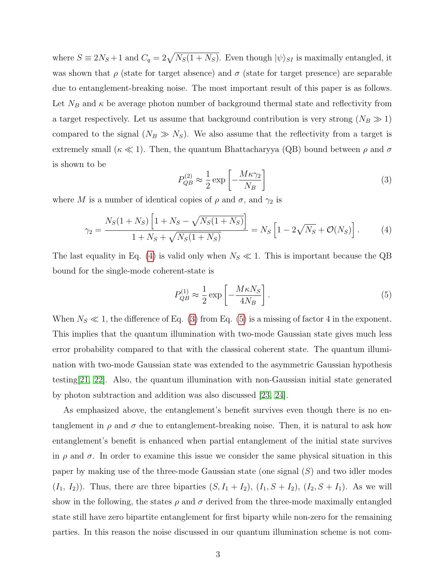where  $S \equiv 2N_S + 1$  and  $C_q = 2\sqrt{N_S(1 + N_S)}$ . Even though  $|\psi\rangle_{SI}$  is maximally entangled, it was shown that  $\rho$  (state for target absence) and  $\sigma$  (state for target presence) are separable due to entanglement-breaking noise. The most important result of this paper is as follows. Let  $N_B$  and  $\kappa$  be average photon number of background thermal state and reflectivity from a target respectively. Let us assume that background contribution is very strong  $(N_B \gg 1)$ compared to the signal  $(N_B \gg N_S)$ . We also assume that the reflectivity from a target is extremely small ( $\kappa \ll 1$ ). Then, the quantum Bhattacharyya (QB) bound between  $\rho$  and  $\sigma$ is shown to be

<span id="page-2-1"></span>
$$
P_{QB}^{(2)} \approx \frac{1}{2} \exp\left[-\frac{M\kappa\gamma_2}{N_B}\right]
$$
 (3)

where M is a number of identical copies of  $\rho$  and  $\sigma$ , and  $\gamma_2$  is

<span id="page-2-0"></span>
$$
\gamma_2 = \frac{N_S(1 + N_S) \left[1 + N_S - \sqrt{N_S(1 + N_S)}\right]}{1 + N_S + \sqrt{N_S(1 + N_S)}} = N_S \left[1 - 2\sqrt{N_S} + \mathcal{O}(N_S)\right].\tag{4}
$$

The last equality in Eq. [\(4\)](#page-2-0) is valid only when  $N_S \ll 1$ . This is important because the QB bound for the single-mode coherent-state is

<span id="page-2-2"></span>
$$
P_{QB}^{(1)} \approx \frac{1}{2} \exp\left[-\frac{M\kappa N_S}{4N_B}\right].\tag{5}
$$

When  $N_S \ll 1$ , the difference of Eq. [\(3\)](#page-2-1) from Eq. [\(5\)](#page-2-2) is a missing of factor 4 in the exponent. This implies that the quantum illumination with two-mode Gaussian state gives much less error probability compared to that with the classical coherent state. The quantum illumination with two-mode Gaussian state was extended to the asymmetric Gaussian hypothesis testing[\[21,](#page-10-7) [22\]](#page-10-8). Also, the quantum illumination with non-Gaussian initial state generated by photon subtraction and addition was also discussed [\[23,](#page-10-9) [24\]](#page-11-0).

As emphasized above, the entanglement's benefit survives even though there is no entanglement in  $\rho$  and  $\sigma$  due to entanglement-breaking noise. Then, it is natural to ask how entanglement's benefit is enhanced when partial entanglement of the initial state survives in  $\rho$  and  $\sigma$ . In order to examine this issue we consider the same physical situation in this paper by making use of the three-mode Gaussian state (one signal  $(S)$ ) and two idler modes  $(I_1, I_2)$ ). Thus, there are three biparties  $(S, I_1 + I_2)$ ,  $(I_1, S + I_2)$ ,  $(I_2, S + I_1)$ . As we will show in the following, the states  $\rho$  and  $\sigma$  derived from the three-mode maximally entangled state still have zero bipartite entanglement for first biparty while non-zero for the remaining parties. In this reason the noise discussed in our quantum illumination scheme is not com-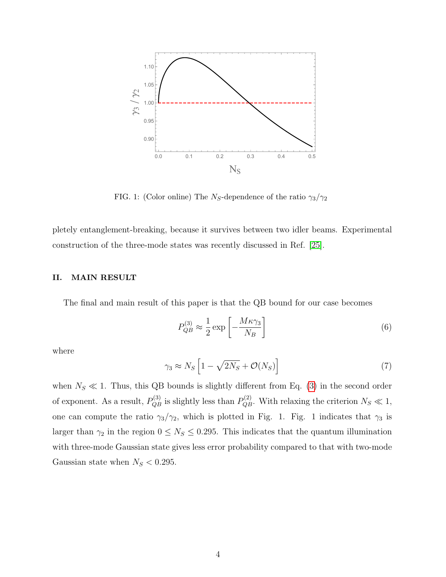

FIG. 1: (Color online) The  $N_S$ -dependence of the ratio  $\gamma_3/\gamma_2$ 

pletely entanglement-breaking, because it survives between two idler beams. Experimental construction of the three-mode states was recently discussed in Ref. [\[25\]](#page-11-1).

### II. MAIN RESULT

The final and main result of this paper is that the QB bound for our case becomes

<span id="page-3-0"></span>
$$
P_{QB}^{(3)} \approx \frac{1}{2} \exp\left[-\frac{M\kappa\gamma_3}{N_B}\right]
$$
 (6)

where

$$
\gamma_3 \approx N_S \left[ 1 - \sqrt{2N_S} + \mathcal{O}(N_S) \right] \tag{7}
$$

when  $N_S \ll 1$ . Thus, this QB bounds is slightly different from Eq. [\(3\)](#page-2-1) in the second order of exponent. As a result,  $P_{QB}^{(3)}$  is slightly less than  $P_{QB}^{(2)}$ . With relaxing the criterion  $N_S \ll 1$ , one can compute the ratio  $\gamma_3/\gamma_2$ , which is plotted in Fig. 1. Fig. 1 indicates that  $\gamma_3$  is larger than  $\gamma_2$  in the region  $0 \leq N_s \leq 0.295$ . This indicates that the quantum illumination with three-mode Gaussian state gives less error probability compared to that with two-mode Gaussian state when  $N_S < 0.295$ .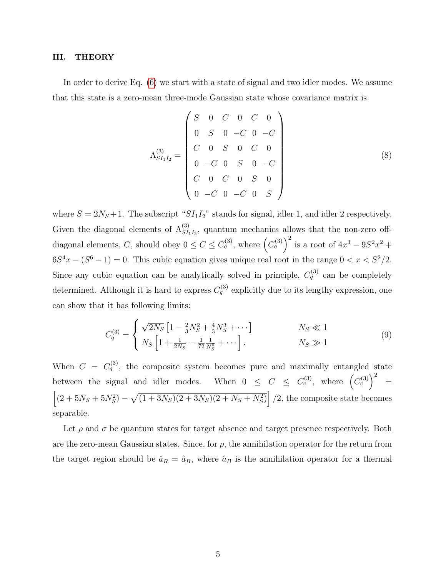#### III. THEORY

In order to derive Eq. [\(6\)](#page-3-0) we start with a state of signal and two idler modes. We assume that this state is a zero-mean three-mode Gaussian state whose covariance matrix is

$$
\Lambda_{SI_1I_2}^{(3)} = \begin{pmatrix} S & 0 & C & 0 & C & 0 \\ 0 & S & 0 & -C & 0 & -C \\ C & 0 & S & 0 & C & 0 \\ 0 & -C & 0 & S & 0 & -C \\ C & 0 & C & 0 & S & 0 \\ 0 & -C & 0 & -C & 0 & S \end{pmatrix}
$$
(8)

where  $S = 2N_S + 1$ . The subscript " $SI_1I_2$ " stands for signal, idler 1, and idler 2 respectively. Given the diagonal elements of  $\Lambda_{SI_1I_2}^{(3)}$ , quantum mechanics allows that the non-zero offdiagonal elements, C, should obey  $0 \leq C \leq C_q^{(3)}$ , where  $(C_q^{(3)})^2$  is a root of  $4x^3 - 9S^2x^2 +$  $6S<sup>4</sup>x - (S<sup>6</sup> - 1) = 0$ . This cubic equation gives unique real root in the range  $0 < x < S<sup>2</sup>/2$ . Since any cubic equation can be analytically solved in principle,  $C_q^{(3)}$  can be completely determined. Although it is hard to express  $C_q^{(3)}$  explicitly due to its lengthy expression, one can show that it has following limits:

$$
C_q^{(3)} = \begin{cases} \sqrt{2N_S} \left[ 1 - \frac{2}{3} N_S^2 + \frac{4}{3} N_S^3 + \cdots \right] & N_S \ll 1\\ N_S \left[ 1 + \frac{1}{2N_S} - \frac{1}{72} \frac{1}{N_S^6} + \cdots \right]. & N_S \gg 1 \end{cases}
$$
(9)

When  $C = C_q^{(3)}$ , the composite system becomes pure and maximally entangled state between the signal and idler modes. When  $0 \leq C \leq C_c^{(3)}$ , where  $(C_c^{(3)})^2 =$  $\left[ (2 + 5N_S + 5N_S^2) - \sqrt{(1 + 3N_S)(2 + 3N_S)(2 + N_S + N_S^2)} \right] / 2$ , the composite state becomes separable.

Let  $\rho$  and  $\sigma$  be quantum states for target absence and target presence respectively. Both are the zero-mean Gaussian states. Since, for  $\rho$ , the annihilation operator for the return from the target region should be  $\hat{a}_R = \hat{a}_B$ , where  $\hat{a}_B$  is the annihilation operator for a thermal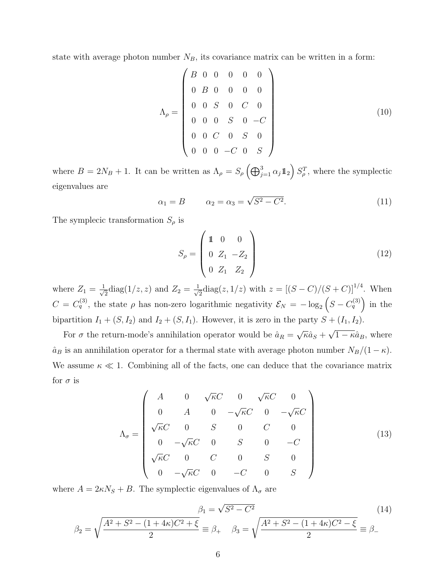state with average photon number  $N_B$ , its covariance matrix can be written in a form:

$$
\Lambda_{\rho} = \begin{pmatrix}\nB & 0 & 0 & 0 & 0 & 0 \\
0 & B & 0 & 0 & 0 & 0 \\
0 & 0 & S & 0 & C & 0 \\
0 & 0 & 0 & S & 0 & -C \\
0 & 0 & C & 0 & S & 0 \\
0 & 0 & 0 & -C & 0 & S\n\end{pmatrix}
$$
\n(10)

where  $B = 2N_B + 1$ . It can be written as  $\Lambda_\rho = S_\rho \left(\bigoplus_{j=1}^3 \alpha_j \mathbb{1}_2\right) S_\rho^T$ , where the symplectic eigenvalues are

$$
\alpha_1 = B \qquad \alpha_2 = \alpha_3 = \sqrt{S^2 - C^2}.\tag{11}
$$

The symplecic transformation  $S_{\rho}$  is

$$
S_{\rho} = \begin{pmatrix} 1 & 0 & 0 \\ 0 & Z_1 & -Z_2 \\ 0 & Z_1 & Z_2 \end{pmatrix}
$$
 (12)

where  $Z_1 = \frac{1}{\sqrt{2}}$  $\frac{1}{2}$ diag $(1/z, z)$  and  $Z_2 = \frac{1}{\sqrt{2}}$  $\frac{1}{2}$ diag(z, 1/z) with  $z = [(S - C)/(S + C)]^{1/4}$ . When  $C = C_q^{(3)}$ , the state  $\rho$  has non-zero logarithmic negativity  $\mathcal{E}_N = -\log_2(S - C_q^{(3)})$  in the bipartition  $I_1 + (S, I_2)$  and  $I_2 + (S, I_1)$ . However, it is zero in the party  $S + (I_1, I_2)$ .

For  $\sigma$  the return-mode's annihilation operator would be  $\hat{a}_R =$ √  $\overline{\kappa}\hat{a}_S+$ √  $1 - \kappa \hat{a}_B$ , where  $\hat{a}_B$  is an annihilation operator for a thermal state with average photon number  $N_B/(1 - \kappa)$ . We assume  $\kappa \ll 1$ . Combining all of the facts, one can deduce that the covariance matrix for  $\sigma$  is

$$
\Lambda_{\sigma} = \begin{pmatrix}\nA & 0 & \sqrt{\kappa}C & 0 & \sqrt{\kappa}C & 0 \\
0 & A & 0 & -\sqrt{\kappa}C & 0 & -\sqrt{\kappa}C \\
\sqrt{\kappa}C & 0 & S & 0 & C & 0 \\
0 & -\sqrt{\kappa}C & 0 & S & 0 & -C \\
\sqrt{\kappa}C & 0 & C & 0 & S & 0 \\
0 & -\sqrt{\kappa}C & 0 & -C & 0 & S\n\end{pmatrix}
$$
\n(13)

where  $A = 2\kappa N_S + B$ . The symplectic eigenvalues of  $\Lambda_{\sigma}$  are

$$
\beta_1 = \sqrt{S^2 - C^2}
$$
\n
$$
\beta_2 = \sqrt{\frac{A^2 + S^2 - (1 + 4\kappa)C^2 + \xi}{2}} \equiv \beta_+ \quad \beta_3 = \sqrt{\frac{A^2 + S^2 - (1 + 4\kappa)C^2 - \xi}{2}} \equiv \beta_-
$$
\n(14)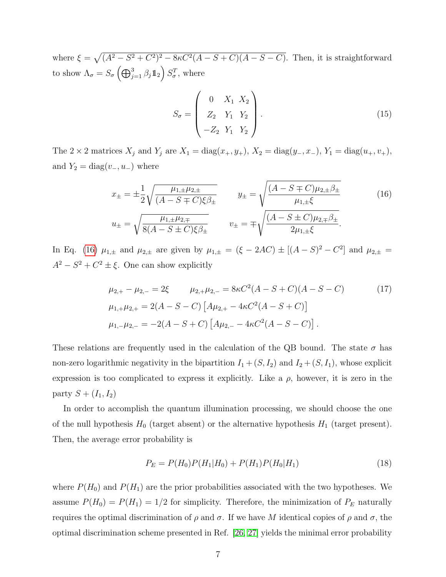where  $\xi = \sqrt{(A^2 - S^2 + C^2)^2 - 8\kappa C^2(A - S + C)(A - S - C)}$ . Then, it is straightforward to show  $\Lambda_{\sigma} = S_{\sigma} \left( \bigoplus_{j=1}^{3} \beta_j \mathbb{1}_2 \right) S_{\sigma}^T$ , where

$$
S_{\sigma} = \begin{pmatrix} 0 & X_1 & X_2 \\ Z_2 & Y_1 & Y_2 \\ -Z_2 & Y_1 & Y_2 \end{pmatrix} . \tag{15}
$$

The 2 × 2 matrices  $X_j$  and  $Y_j$  are  $X_1 = \text{diag}(x_+, y_+), X_2 = \text{diag}(y_-, x_-), Y_1 = \text{diag}(u_+, v_+),$ and  $Y_2 = \text{diag}(v_-, u_-)$  where

<span id="page-6-0"></span>
$$
x_{\pm} = \pm \frac{1}{2} \sqrt{\frac{\mu_{1,\pm} \mu_{2,\pm}}{(A - S \mp C)\xi \beta_{\pm}}} \qquad y_{\pm} = \sqrt{\frac{(A - S \mp C)\mu_{2,\pm} \beta_{\pm}}{\mu_{1,\pm} \xi}}
$$
(16)  

$$
u_{\pm} = \sqrt{\frac{\mu_{1,\pm} \mu_{2,\mp}}{8(A - S \pm C)\xi \beta_{\pm}}} \qquad v_{\pm} = \mp \sqrt{\frac{(A - S \pm C)\mu_{2,\mp} \beta_{\pm}}{2\mu_{1,\pm} \xi}}.
$$

In Eq. [\(16\)](#page-6-0)  $\mu_{1,\pm}$  and  $\mu_{2,\pm}$  are given by  $\mu_{1,\pm} = (\xi - 2AC) \pm [ (A - S)^2 - C^2 ]$  and  $\mu_{2,\pm} =$  $A^2 - S^2 + C^2 \pm \xi$ . One can show explicitly

$$
\mu_{2,+} - \mu_{2,-} = 2\xi \qquad \mu_{2,+} \mu_{2,-} = 8\kappa C^2 (A - S + C)(A - S - C) \tag{17}
$$
  

$$
\mu_{1,+} \mu_{2,+} = 2(A - S - C) \left[ A \mu_{2,+} - 4\kappa C^2 (A - S + C) \right]
$$
  

$$
\mu_{1,-} \mu_{2,-} = -2(A - S + C) \left[ A \mu_{2,-} - 4\kappa C^2 (A - S - C) \right].
$$

These relations are frequently used in the calculation of the QB bound. The state  $\sigma$  has non-zero logarithmic negativity in the bipartition  $I_1 + (S, I_2)$  and  $I_2 + (S, I_1)$ , whose explicit expression is too complicated to express it explicitly. Like a  $\rho$ , however, it is zero in the party  $S + (I_1, I_2)$ 

In order to accomplish the quantum illumination processing, we should choose the one of the null hypothesis  $H_0$  (target absent) or the alternative hypothesis  $H_1$  (target present). Then, the average error probability is

$$
P_E = P(H_0)P(H_1|H_0) + P(H_1)P(H_0|H_1)
$$
\n(18)

where  $P(H_0)$  and  $P(H_1)$  are the prior probabilities associated with the two hypotheses. We assume  $P(H_0) = P(H_1) = 1/2$  for simplicity. Therefore, the minimization of  $P_E$  naturally requires the optimal discrimination of  $ρ$  and  $σ$ . If we have M identical copies of  $ρ$  and  $σ$ , the optimal discrimination scheme presented in Ref. [\[26,](#page-11-2) [27\]](#page-11-3) yields the minimal error probability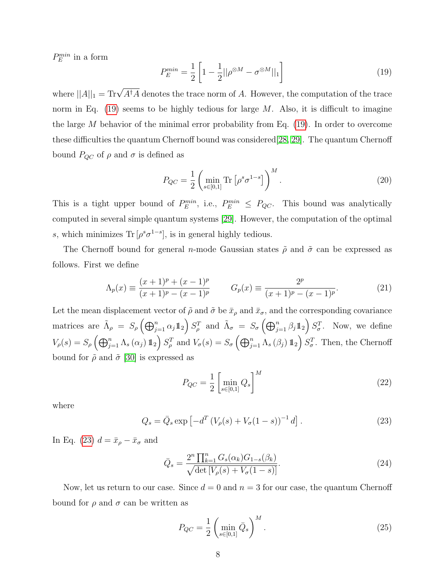$P_E^{min}$  in a form

<span id="page-7-0"></span>
$$
P_E^{\min} = \frac{1}{2} \left[ 1 - \frac{1}{2} ||\rho^{\otimes M} - \sigma^{\otimes M}||_1 \right] \tag{19}
$$

where  $||A||_1 = \text{Tr}\sqrt{A^{\dagger}A}$  denotes the trace norm of A. However, the computation of the trace norm in Eq.  $(19)$  seems to be highly tedious for large M. Also, it is difficult to imagine the large  $M$  behavior of the minimal error probability from Eq. [\(19\)](#page-7-0). In order to overcome these difficulties the quantum Chernoff bound was considered[\[28,](#page-11-4) [29\]](#page-11-5). The quantum Chernoff bound  $P_{QC}$  of  $\rho$  and  $\sigma$  is defined as

$$
P_{QC} = \frac{1}{2} \left( \min_{s \in [0,1]} \text{Tr} \left[ \rho^s \sigma^{1-s} \right] \right)^M.
$$
 (20)

This is a tight upper bound of  $P_E^{min}$ , i.e.,  $P_E^{min} \leq P_{QC}$ . This bound was analytically computed in several simple quantum systems [\[29\]](#page-11-5). However, the computation of the optimal s, which minimizes  $\text{Tr}[\rho^s \sigma^{1-s}]$ , is in general highly tedious.

The Chernoff bound for general n-mode Gaussian states  $\tilde{\rho}$  and  $\tilde{\sigma}$  can be expressed as follows. First we define

$$
\Lambda_p(x) \equiv \frac{(x+1)^p + (x-1)^p}{(x+1)^p - (x-1)^p} \qquad G_p(x) \equiv \frac{2^p}{(x+1)^p - (x-1)^p}.
$$
\n(21)

Let the mean displacement vector of  $\tilde{\rho}$  and  $\tilde{\sigma}$  be  $\bar{x}_{\rho}$  and  $\bar{x}_{\sigma}$ , and the corresponding covariance matrices are  $\tilde{\Lambda}_{\rho} = S_{\rho} \left( \bigoplus_{j=1}^{n} \alpha_{j} 1\!\!1_{2} \right) S_{\rho}^{T}$  and  $\tilde{\Lambda}_{\sigma} = S_{\sigma} \left( \bigoplus_{j=1}^{n} \beta_{j} 1\!\!1_{2} \right) S_{\sigma}^{T}$ . Now, we define  $V_{\rho}(s) = S_{\rho} \left(\bigoplus_{j=1}^{n} \Lambda_{s} (\alpha_{j}) \mathbb{1}_{2}\right) S_{\rho}^{T}$  and  $V_{\sigma}(s) = S_{\sigma} \left(\bigoplus_{j=1}^{n} \Lambda_{s} (\beta_{j}) \mathbb{1}_{2}\right) S_{\sigma}^{T}$ . Then, the Chernoff bound for  $\tilde{\rho}$  and  $\tilde{\sigma}$  [\[30\]](#page-11-6) is expressed as

$$
P_{QC} = \frac{1}{2} \left[ \min_{s \in [0,1]} Q_s \right]^M \tag{22}
$$

where

<span id="page-7-1"></span>
$$
Q_s = \bar{Q}_s \exp\left[ -d^T \left( V_\rho(s) + V_\sigma(1-s) \right)^{-1} d \right].
$$
 (23)

In Eq. [\(23\)](#page-7-1)  $d = \bar{x}_{\rho} - \bar{x}_{\sigma}$  and

$$
\bar{Q}_s = \frac{2^n \prod_{k=1}^n G_s(\alpha_k) G_{1-s}(\beta_k)}{\sqrt{\det [V_\rho(s) + V_\sigma(1-s)]}}.
$$
\n(24)

Now, let us return to our case. Since  $d = 0$  and  $n = 3$  for our case, the quantum Chernoff bound for  $\rho$  and  $\sigma$  can be written as

<span id="page-7-2"></span>
$$
P_{QC} = \frac{1}{2} \left( \min_{s \in [0,1]} \bar{Q}_s \right)^M.
$$
 (25)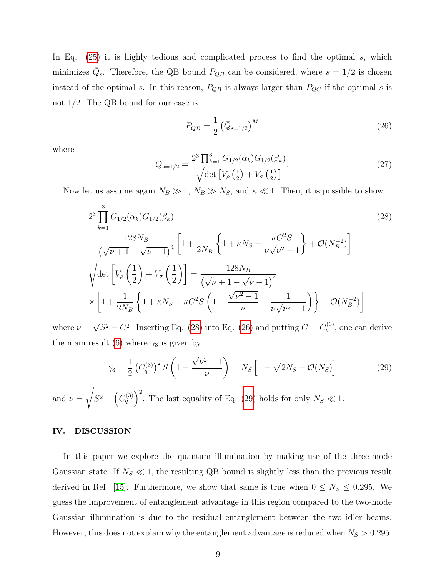In Eq. [\(25\)](#page-7-2) it is highly tedious and complicated process to find the optimal s, which minimizes  $\overline{Q}_s$ . Therefore, the QB bound  $P_{QB}$  can be considered, where  $s = 1/2$  is chosen instead of the optimal s. In this reason,  $P_{QB}$  is always larger than  $P_{QC}$  if the optimal s is not 1/2. The QB bound for our case is

<span id="page-8-1"></span>
$$
P_{QB} = \frac{1}{2} \left( \bar{Q}_{s=1/2} \right)^M \tag{26}
$$

where

$$
\bar{Q}_{s=1/2} = \frac{2^3 \prod_{k=1}^3 G_{1/2}(\alpha_k) G_{1/2}(\beta_k)}{\sqrt{\det \left[ V_\rho \left( \frac{1}{2} \right) + V_\sigma \left( \frac{1}{2} \right) \right]}}.
$$
\n(27)

Now let us assume again  $N_B \gg 1$ ,  $N_B \gg N_S$ , and  $\kappa \ll 1$ . Then, it is possible to show

<span id="page-8-0"></span>
$$
2^{3} \prod_{k=1}^{3} G_{1/2}(\alpha_{k}) G_{1/2}(\beta_{k})
$$
\n
$$
= \frac{128N_{B}}{(\sqrt{\nu+1} - \sqrt{\nu-1})^{4}} \left[ 1 + \frac{1}{2N_{B}} \left\{ 1 + \kappa N_{S} - \frac{\kappa C^{2} S}{\nu \sqrt{\nu^{2} - 1}} \right\} + \mathcal{O}(N_{B}^{-2}) \right]
$$
\n
$$
\sqrt{\det \left[ V_{\rho} \left( \frac{1}{2} \right) + V_{\sigma} \left( \frac{1}{2} \right) \right]} = \frac{128N_{B}}{(\sqrt{\nu+1} - \sqrt{\nu-1})^{4}}
$$
\n
$$
\times \left[ 1 + \frac{1}{2N_{B}} \left\{ 1 + \kappa N_{S} + \kappa C^{2} S \left( 1 - \frac{\sqrt{\nu^{2} - 1}}{\nu} - \frac{1}{\nu \sqrt{\nu^{2} - 1}} \right) \right\} + \mathcal{O}(N_{B}^{-2}) \right]
$$
\n
$$
\sqrt{\sigma_{\rho} \sqrt{\sigma_{\rho}}}
$$

where  $\nu =$  $\overline{S^2 - C^2}$ . Inserting Eq. [\(28\)](#page-8-0) into Eq. [\(26\)](#page-8-1) and putting  $C = C_q^{(3)}$ , one can derive the main result [\(6\)](#page-3-0) where  $\gamma_3$  is given by

<span id="page-8-2"></span>
$$
\gamma_3 = \frac{1}{2} \left( C_q^{(3)} \right)^2 S \left( 1 - \frac{\sqrt{\nu^2 - 1}}{\nu} \right) = N_S \left[ 1 - \sqrt{2N_S} + \mathcal{O}(N_S) \right] \tag{29}
$$

and  $\nu =$ <sup>1</sup>  $S^2 - (C_q^{(3)})^2$ . The last equality of Eq. [\(29\)](#page-8-2) holds for only  $N_S \ll 1$ .

#### IV. DISCUSSION

In this paper we explore the quantum illumination by making use of the three-mode Gaussian state. If  $N_S \ll 1$ , the resulting QB bound is slightly less than the previous result derived in Ref. [\[15\]](#page-10-4). Furthermore, we show that same is true when  $0 \leq N_S \leq 0.295$ . We guess the improvement of entanglement advantage in this region compared to the two-mode Gaussian illumination is due to the residual entanglement between the two idler beams. However, this does not explain why the entanglement advantage is reduced when  $N_S > 0.295$ .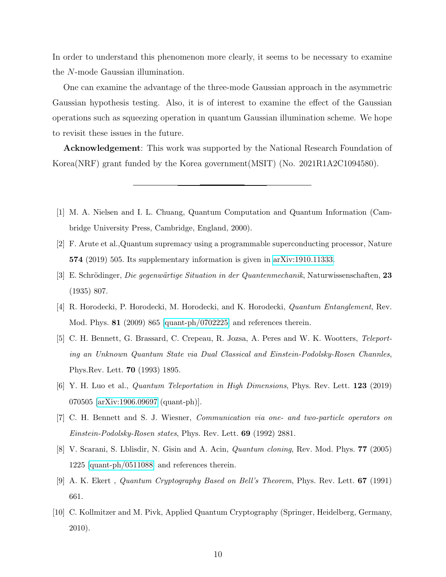In order to understand this phenomenon more clearly, it seems to be necessary to examine the N-mode Gaussian illumination.

One can examine the advantage of the three-mode Gaussian approach in the asymmetric Gaussian hypothesis testing. Also, it is of interest to examine the effect of the Gaussian operations such as squeezing operation in quantum Gaussian illumination scheme. We hope to revisit these issues in the future.

Acknowledgement: This work was supported by the National Research Foundation of Korea(NRF) grant funded by the Korea government(MSIT) (No. 2021R1A2C1094580).

- <span id="page-9-0"></span>[1] M. A. Nielsen and I. L. Chuang, Quantum Computation and Quantum Information (Cambridge University Press, Cambridge, England, 2000).
- <span id="page-9-1"></span>[2] F. Arute et al.,Quantum supremacy using a programmable superconducting processor, Nature 574 (2019) 505. Its supplementary information is given in [arXiv:1910.11333.](http://arxiv.org/abs/1910.11333)
- <span id="page-9-2"></span>[3] E. Schrödinger, Die gegenwärtige Situation in der Quantenmechanik, Naturwissenschaften, 23 (1935) 807.
- <span id="page-9-3"></span>[4] R. Horodecki, P. Horodecki, M. Horodecki, and K. Horodecki, Quantum Entanglement, Rev. Mod. Phys. **81** (2009) 865  $\alpha$  [\[quant-ph/0702225\]](http://arxiv.org/abs/quant-ph/0702225) and references therein.
- <span id="page-9-4"></span>[5] C. H. Bennett, G. Brassard, C. Crepeau, R. Jozsa, A. Peres and W. K. Wootters, Teleporting an Unknown Quantum State via Dual Classical and Einstein-Podolsky-Rosen Channles, Phys.Rev. Lett. 70 (1993) 1895.
- <span id="page-9-5"></span>[6] Y. H. Luo et al., Quantum Teleportation in High Dimensions, Phys. Rev. Lett. 123 (2019) 070505 [\[arXiv:1906.09697](http://arxiv.org/abs/1906.09697) (quant-ph)].
- <span id="page-9-6"></span>[7] C. H. Bennett and S. J. Wiesner, Communication via one- and two-particle operators on Einstein-Podolsky-Rosen states, Phys. Rev. Lett. 69 (1992) 2881.
- <span id="page-9-7"></span>[8] V. Scarani, S. Lblisdir, N. Gisin and A. Acin, Quantum cloning, Rev. Mod. Phys. 77 (2005) 1225 [\[quant-ph/0511088\]](http://arxiv.org/abs/quant-ph/0511088) and references therein.
- <span id="page-9-8"></span>[9] A. K. Ekert , Quantum Cryptography Based on Bell's Theorem, Phys. Rev. Lett. 67 (1991) 661.
- <span id="page-9-9"></span>[10] C. Kollmitzer and M. Pivk, Applied Quantum Cryptography (Springer, Heidelberg, Germany, 2010).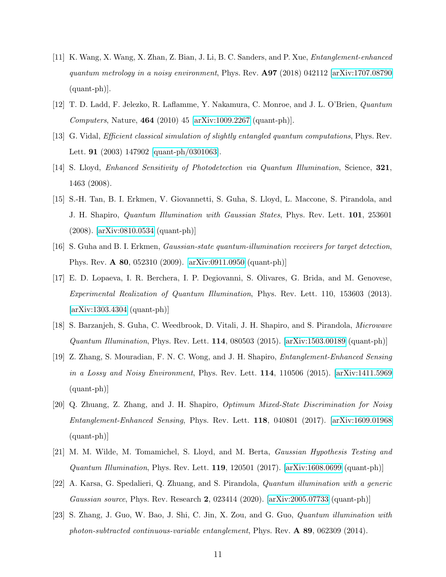- <span id="page-10-0"></span>[11] K. Wang, X. Wang, X. Zhan, Z. Bian, J. Li, B. C. Sanders, and P. Xue, Entanglement-enhanced quantum metrology in a noisy environment, Phys. Rev.  $\mathbf{A97}$  (2018) 042112 [\[arXiv:1707.08790](http://arxiv.org/abs/1707.08790) (quant-ph)].
- <span id="page-10-1"></span>[12] T. D. Ladd, F. Jelezko, R. Laflamme, Y. Nakamura, C. Monroe, and J. L. O'Brien, Quantum *Computers*, Nature, **464** (2010) 45 [\[arXiv:1009.2267](http://arxiv.org/abs/1009.2267) (quant-ph)].
- <span id="page-10-2"></span>[13] G. Vidal, Efficient classical simulation of slightly entangled quantum computations, Phys. Rev. Lett. 91 (2003) 147902 [\[quant-ph/0301063\]](http://arxiv.org/abs/quant-ph/0301063).
- <span id="page-10-3"></span>[14] S. Lloyd, Enhanced Sensitivity of Photodetection via Quantum Illumination, Science, 321, 1463 (2008).
- <span id="page-10-4"></span>[15] S.-H. Tan, B. I. Erkmen, V. Giovannetti, S. Guha, S. Lloyd, L. Maccone, S. Pirandola, and J. H. Shapiro, Quantum Illumination with Gaussian States, Phys. Rev. Lett. 101, 253601 (2008). [\[arXiv:0810.0534](http://arxiv.org/abs/0810.0534) (quant-ph)]
- <span id="page-10-5"></span>[16] S. Guha and B. I. Erkmen, Gaussian-state quantum-illumination receivers for target detection, Phys. Rev. A 80, 052310 (2009). [\[arXiv:0911.0950](http://arxiv.org/abs/0911.0950) (quant-ph)]
- [17] E. D. Lopaeva, I. R. Berchera, I. P. Degiovanni, S. Olivares, G. Brida, and M. Genovese, Experimental Realization of Quantum Illumination, Phys. Rev. Lett. 110, 153603 (2013). [\[arXiv:1303.4304](http://arxiv.org/abs/1303.4304) (quant-ph)]
- [18] S. Barzanjeh, S. Guha, C. Weedbrook, D. Vitali, J. H. Shapiro, and S. Pirandola, Microwave  $Quantum\; Illumination$ , Phys. Rev. Lett. 114, 080503 (2015).  $[arXiv:1503.00189$  (quant-ph)]
- [19] Z. Zhang, S. Mouradian, F. N. C. Wong, and J. H. Shapiro, Entanglement-Enhanced Sensing in a Lossy and Noisy Environment, Phys. Rev. Lett. 114, 110506 (2015). [\[arXiv:1411.5969](http://arxiv.org/abs/1411.5969) (quant-ph)]
- <span id="page-10-6"></span>[20] Q. Zhuang, Z. Zhang, and J. H. Shapiro, Optimum Mixed-State Discrimination for Noisy Entanglement-Enhanced Sensing, Phys. Rev. Lett. 118, 040801 (2017). [\[arXiv:1609.01968](http://arxiv.org/abs/1609.01968) (quant-ph)]
- <span id="page-10-7"></span>[21] M. M. Wilde, M. Tomamichel, S. Lloyd, and M. Berta, Gaussian Hypothesis Testing and *Quantum Illumination*, Phys. Rev. Lett. **119**, 120501 (2017).  $[\text{arXiv:1608.0699 (quant-ph)}]$
- <span id="page-10-8"></span>[22] A. Karsa, G. Spedalieri, Q. Zhuang, and S. Pirandola, Quantum illumination with a generic Gaussian source, Phys. Rev. Research 2, 023414 (2020). [\[arXiv:2005.07733](http://arxiv.org/abs/2005.07733) (quant-ph)]
- <span id="page-10-9"></span>[23] S. Zhang, J. Guo, W. Bao, J. Shi, C. Jin, X. Zou, and G. Guo, Quantum illumination with photon-subtracted continuous-variable entanglement, Phys. Rev. A 89, 062309 (2014).